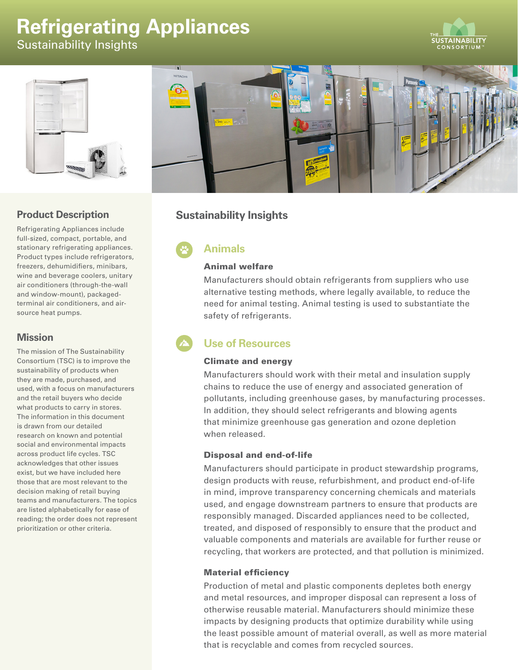# **Refrigerating Appliances**

Sustainability Insights





# **Product Description**

Refrigerating Appliances include full-sized, compact, portable, and stationary refrigerating appliances. Product types include refrigerators, freezers, dehumidifiers, minibars, wine and beverage coolers, unitary air conditioners (through-the-wall and window-mount), packagedterminal air conditioners, and airsource heat pumps.

## **Mission**

The mission of The Sustainability Consortium (TSC) is to improve the sustainability of products when they are made, purchased, and used, with a focus on manufacturers and the retail buyers who decide what products to carry in stores. The information in this document is drawn from our detailed research on known and potential social and environmental impacts across product life cycles. TSC acknowledges that other issues exist, but we have included here those that are most relevant to the decision making of retail buying teams and manufacturers. The topics are listed alphabetically for ease of reading; the order does not represent prioritization or other criteria.

# **Sustainability Insights**

**Animals**

#### Animal welfare

Manufacturers should obtain refrigerants from suppliers who use alternative testing methods, where legally available, to reduce the need for animal testing. Animal testing is used to substantiate the safety of refrigerants.

# **Use of Resources**

## Climate and energy

Manufacturers should work with their metal and insulation supply chains to reduce the use of energy and associated generation of pollutants, including greenhouse gases, by manufacturing processes. In addition, they should select refrigerants and blowing agents that minimize greenhouse gas generation and ozone depletion when released.

## Disposal and end-of-life

Manufacturers should participate in product stewardship programs, design products with reuse, refurbishment, and product end-of-life in mind, improve transparency concerning chemicals and materials used, and engage downstream partners to ensure that products are responsibly managed. Discarded appliances need to be collected, treated, and disposed of responsibly to ensure that the product and valuable components and materials are available for further reuse or recycling, that workers are protected, and that pollution is minimized.

## Material efficiency

Production of metal and plastic components depletes both energy and metal resources, and improper disposal can represent a loss of otherwise reusable material. Manufacturers should minimize these impacts by designing products that optimize durability while using the least possible amount of material overall, as well as more material that is recyclable and comes from recycled sources.